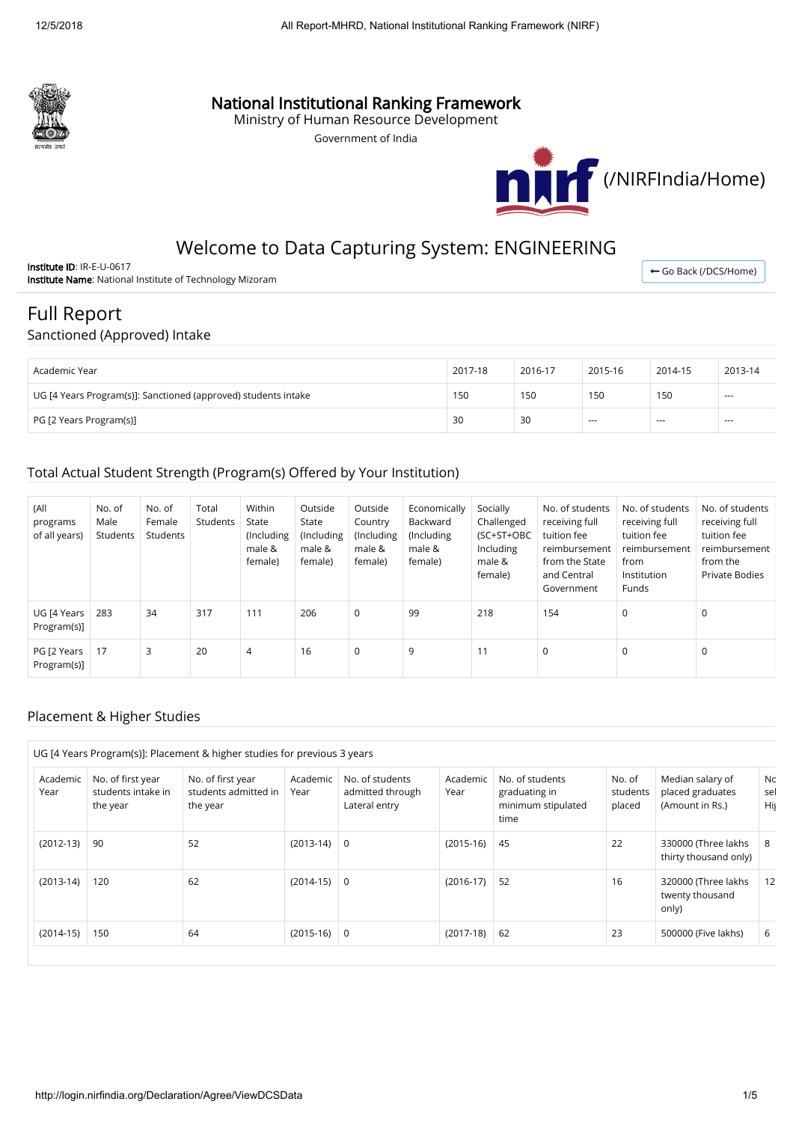

## National Institutional Ranking Framework

Ministry of Human Resource Development

Government of India



# Welcome to Data Capturing System: ENGINEERING

Institute ID: IR-E-U-0617 Institute Name: National Institute of Technology Mizoram

← [Go Back \(/DCS/Home\)](http://login.nirfindia.org/DCS/Home)

# Full Report

### Sanctioned (Approved) Intake

| Academic Year                                                  | 2017-18 | 2016-17 | 2015-16 | 2014-15       | 2013-14 |
|----------------------------------------------------------------|---------|---------|---------|---------------|---------|
| UG [4 Years Program(s)]: Sanctioned (approved) students intake | 150     | 150     | 150     | 150           | $- - -$ |
| PG [2 Years Program(s)]                                        | 30      | 30      | $- - -$ | $\frac{1}{2}$ | $- - -$ |

### Total Actual Student Strength (Program(s) Offered by Your Institution)

| (All<br>programs<br>of all years) | No. of<br>Male<br>Students | No. of<br>Female<br>Students | Total<br>Students | Within<br>State<br>(Including<br>male &<br>female) | Outside<br>State<br>(Including<br>male &<br>female) | Outside<br>Country<br>(Including<br>male &<br>female) | Economically<br>Backward<br>(Including<br>male &<br>female) | Socially<br>Challenged<br>(SC+ST+OBC<br>Including<br>male &<br>female) | No. of students<br>receiving full<br>tuition fee<br>reimbursement<br>from the State<br>and Central<br>Government | No. of students<br>receiving full<br>tuition fee<br>reimbursement<br>from<br>Institution<br>Funds | No. of students<br>receiving full<br>tuition fee<br>reimbursement<br>from the<br><b>Private Bodies</b> |
|-----------------------------------|----------------------------|------------------------------|-------------------|----------------------------------------------------|-----------------------------------------------------|-------------------------------------------------------|-------------------------------------------------------------|------------------------------------------------------------------------|------------------------------------------------------------------------------------------------------------------|---------------------------------------------------------------------------------------------------|--------------------------------------------------------------------------------------------------------|
| UG [4 Years<br>Program(s)]        | 283                        | 34                           | 317               | 111                                                | 206                                                 | 0                                                     | 99                                                          | 218                                                                    | 154                                                                                                              | $\mathbf 0$                                                                                       | 0                                                                                                      |
| PG [2 Years<br>Program(s)]        | 17                         | 3                            | 20                | $\overline{4}$                                     | 16                                                  | 0                                                     | 9                                                           | 11                                                                     | $\mathbf 0$                                                                                                      | $\mathbf 0$                                                                                       | 0                                                                                                      |

### Placement & Higher Studies

| Academic<br>Year | No. of first year<br>students intake in<br>the year | No. of first year<br>students admitted in<br>the year | Academic<br>Year | No. of students<br>admitted through<br>Lateral entry | Academic<br>Year | No. of students<br>graduating in<br>minimum stipulated<br>time | No. of<br>students<br>placed | Median salary of<br>placed graduates<br>(Amount in Rs.) | Nc<br>sel<br>His |
|------------------|-----------------------------------------------------|-------------------------------------------------------|------------------|------------------------------------------------------|------------------|----------------------------------------------------------------|------------------------------|---------------------------------------------------------|------------------|
| $(2012-13)$      | 90                                                  | 52                                                    | $(2013-14)$      | 0                                                    | $(2015-16)$      | -45                                                            | 22                           | 330000 (Three lakhs<br>thirty thousand only)            | 8                |
| $(2013-14)$      | 120                                                 | 62                                                    | $(2014-15)$      | 0                                                    | $(2016-17)$      | 52                                                             | 16                           | 320000 (Three lakhs<br>twenty thousand<br>only)         |                  |
| $(2014-15)$      | 150                                                 | 64                                                    | $(2015-16)$      | 0                                                    | $(2017-18)$      | 62                                                             | 23                           | 500000 (Five lakhs)                                     | 6                |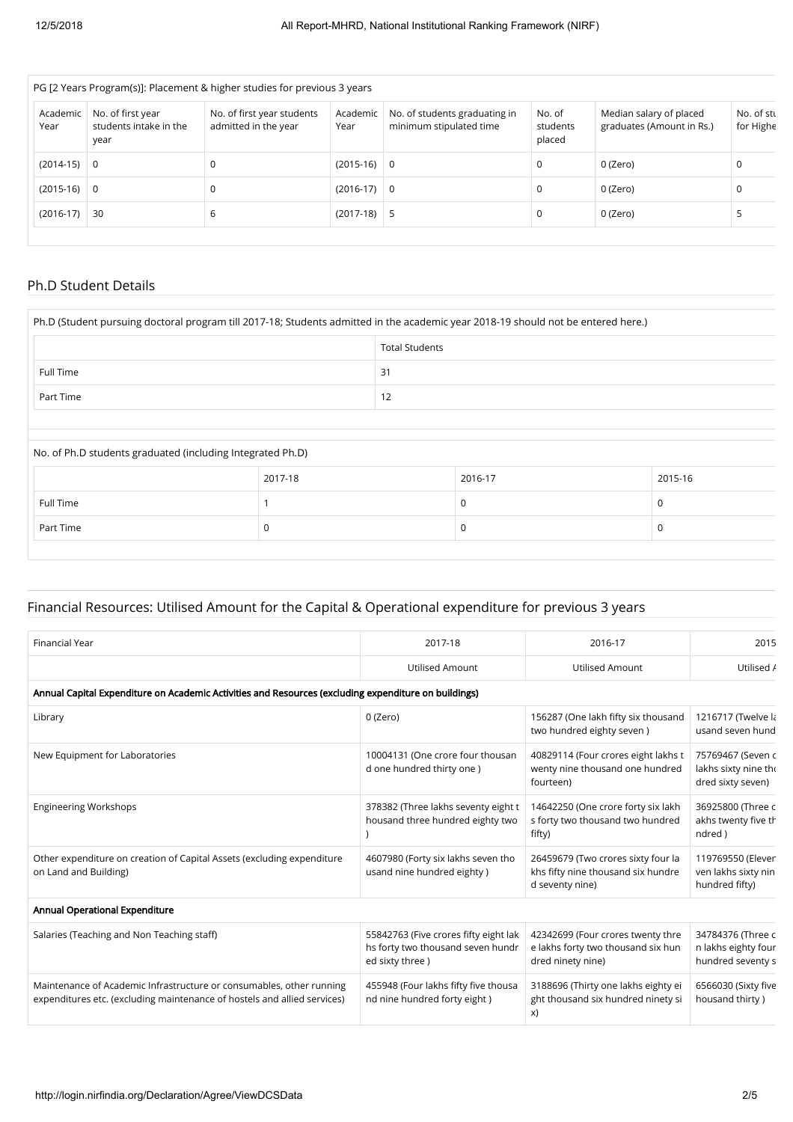| PG [2 Years Program(s)]: Placement & higher studies for previous 3 years |                                                    |                  |                                                          |                                                 |                                                      |                         |  |  |  |
|--------------------------------------------------------------------------|----------------------------------------------------|------------------|----------------------------------------------------------|-------------------------------------------------|------------------------------------------------------|-------------------------|--|--|--|
| No. of first year<br>students intake in the<br>year                      | No. of first year students<br>admitted in the year | Academic<br>Year | No. of students graduating in<br>minimum stipulated time | No. of<br>students<br>placed                    | Median salary of placed<br>graduates (Amount in Rs.) | No. of stu<br>for Highe |  |  |  |
| $\overline{0}$                                                           | 0                                                  |                  |                                                          | 0                                               | 0 (Zero)                                             | 0                       |  |  |  |
| $(2015-16)$ 0                                                            | 0                                                  |                  |                                                          | 0                                               | 0 (Zero)                                             | 0                       |  |  |  |
| 30                                                                       | b                                                  |                  |                                                          | 0                                               | 0 (Zero)                                             |                         |  |  |  |
|                                                                          |                                                    |                  |                                                          | $(2015-16)$ 0<br>$(2016-17)$ 0<br>$(2017-18)$ 5 |                                                      |                         |  |  |  |

### Ph.D Student Details

| Ph.D (Student pursuing doctoral program till 2017-18; Students admitted in the academic year 2018-19 should not be entered here.) |                       |  |             |         |  |  |  |
|-----------------------------------------------------------------------------------------------------------------------------------|-----------------------|--|-------------|---------|--|--|--|
|                                                                                                                                   | <b>Total Students</b> |  |             |         |  |  |  |
| Full Time                                                                                                                         | 31                    |  |             |         |  |  |  |
| Part Time                                                                                                                         | 12                    |  |             |         |  |  |  |
|                                                                                                                                   |                       |  |             |         |  |  |  |
| No. of Ph.D students graduated (including Integrated Ph.D)                                                                        |                       |  |             |         |  |  |  |
|                                                                                                                                   |                       |  |             |         |  |  |  |
|                                                                                                                                   | 2017-18               |  | 2016-17     | 2015-16 |  |  |  |
| Full Time                                                                                                                         |                       |  | 0           | 0       |  |  |  |
| Part Time                                                                                                                         | 0                     |  | $\mathbf 0$ | 0       |  |  |  |

### Financial Resources: Utilised Amount for the Capital & Operational expenditure for previous 3 years

| <b>Financial Year</b>                                                                                                                            | 2017-18                                                                                        | 2016-17                                                                                      | 2015                                                           |
|--------------------------------------------------------------------------------------------------------------------------------------------------|------------------------------------------------------------------------------------------------|----------------------------------------------------------------------------------------------|----------------------------------------------------------------|
|                                                                                                                                                  | <b>Utilised Amount</b>                                                                         | <b>Utilised Amount</b>                                                                       | Utilised /                                                     |
| Annual Capital Expenditure on Academic Activities and Resources (excluding expenditure on buildings)                                             |                                                                                                |                                                                                              |                                                                |
| Library                                                                                                                                          | 0 (Zero)                                                                                       | 156287 (One lakh fifty six thousand<br>two hundred eighty seven)                             | 1216717 (Twelve la<br>usand seven hund                         |
| New Equipment for Laboratories                                                                                                                   | 10004131 (One crore four thousan<br>d one hundred thirty one)                                  | 40829114 (Four crores eight lakhs t<br>wenty nine thousand one hundred<br>fourteen)          | 75769467 (Seven c<br>lakhs sixty nine tho<br>dred sixty seven) |
| <b>Engineering Workshops</b>                                                                                                                     | 378382 (Three lakhs seventy eight t<br>housand three hundred eighty two                        | 14642250 (One crore forty six lakh<br>s forty two thousand two hundred<br>fifty)             | 36925800 (Three c<br>akhs twenty five th<br>ndred)             |
| Other expenditure on creation of Capital Assets (excluding expenditure<br>on Land and Building)                                                  | 4607980 (Forty six lakhs seven tho<br>usand nine hundred eighty)                               | 26459679 (Two crores sixty four la<br>khs fifty nine thousand six hundre<br>d seventy nine)  | 119769550 (Elever<br>ven lakhs sixty nin<br>hundred fifty)     |
| Annual Operational Expenditure                                                                                                                   |                                                                                                |                                                                                              |                                                                |
| Salaries (Teaching and Non Teaching staff)                                                                                                       | 55842763 (Five crores fifty eight lak<br>hs forty two thousand seven hundr<br>ed sixty three ) | 42342699 (Four crores twenty thre<br>e lakhs forty two thousand six hun<br>dred ninety nine) | 34784376 (Three c<br>n lakhs eighty four<br>hundred seventy s  |
| Maintenance of Academic Infrastructure or consumables, other running<br>expenditures etc. (excluding maintenance of hostels and allied services) | 455948 (Four lakhs fifty five thousa<br>nd nine hundred forty eight)                           | 3188696 (Thirty one lakhs eighty ei<br>ght thousand six hundred ninety si<br>X)              | 6566030 (Sixty five<br>housand thirty)                         |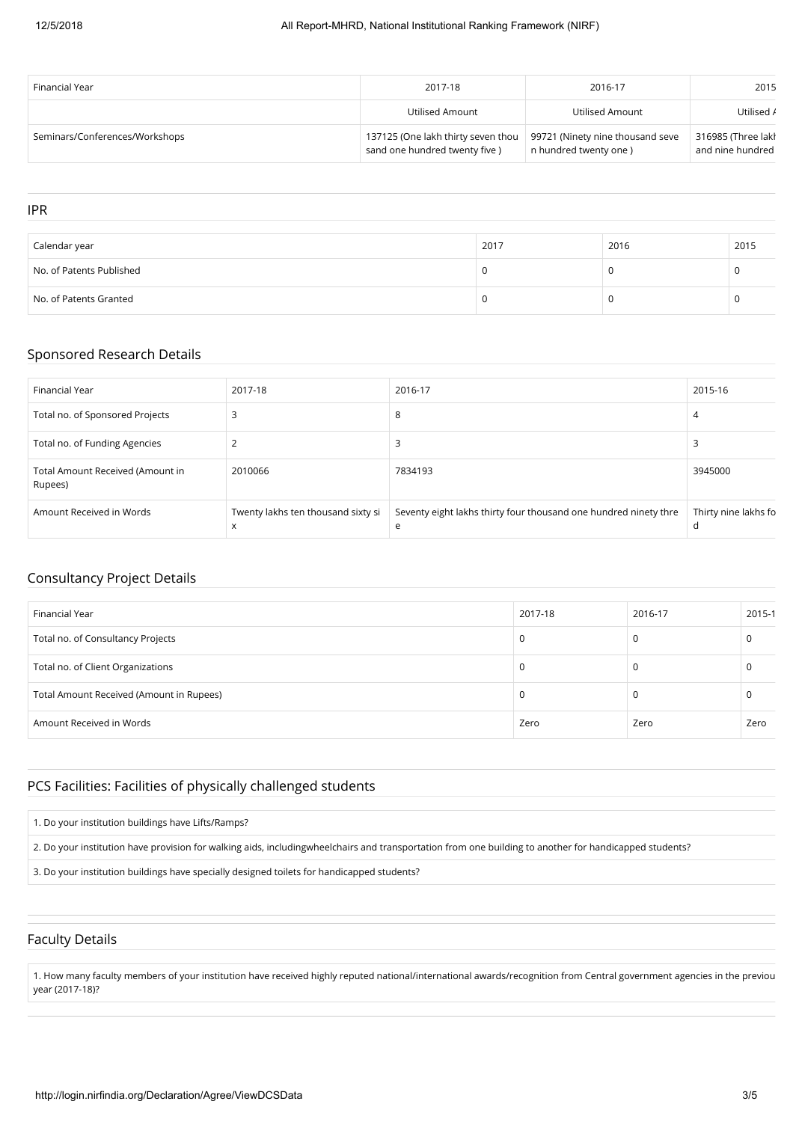| Financial Year                 | 2017-18                                                             | 2016-17                                                   | 2015                                   |
|--------------------------------|---------------------------------------------------------------------|-----------------------------------------------------------|----------------------------------------|
|                                | Utilised Amount                                                     | Utilised Amount                                           | Utilised /                             |
| Seminars/Conferences/Workshops | 137125 (One lakh thirty seven thou<br>sand one hundred twenty five) | 99721 (Ninety nine thousand seve<br>n hundred twenty one) | 316985 (Three lakh<br>and nine hundred |

### IPR

| Calendar year            | 2017 | 2016 | 2015 |
|--------------------------|------|------|------|
| No. of Patents Published |      |      |      |
| No. of Patents Granted   |      |      |      |

### Sponsored Research Details

| Financial Year                              | 2017-18                                 | 2016-17                                                               | 2015-16                   |
|---------------------------------------------|-----------------------------------------|-----------------------------------------------------------------------|---------------------------|
| Total no. of Sponsored Projects             |                                         | 8                                                                     | 4                         |
| Total no. of Funding Agencies               | ∠                                       | Е                                                                     |                           |
| Total Amount Received (Amount in<br>Rupees) | 2010066                                 | 7834193                                                               | 3945000                   |
| Amount Received in Words                    | Twenty lakhs ten thousand sixty si<br>X | Seventy eight lakhs thirty four thousand one hundred ninety thre<br>e | Thirty nine lakhs fo<br>d |

### Consultancy Project Details

| Financial Year                           | 2017-18 | 2016-17 | 2015-1 |
|------------------------------------------|---------|---------|--------|
| Total no. of Consultancy Projects        | 0       |         |        |
| Total no. of Client Organizations        | 0       |         |        |
| Total Amount Received (Amount in Rupees) | 0       |         |        |
| Amount Received in Words                 | Zero    | Zero    | Zero   |

### PCS Facilities: Facilities of physically challenged students

#### 1. Do your institution buildings have Lifts/Ramps?

2. Do your institution have provision for walking aids, includingwheelchairs and transportation from one building to another for handicapped students?

3. Do your institution buildings have specially designed toilets for handicapped students?

### Faculty Details

1. How many faculty members of your institution have received highly reputed national/international awards/recognition from Central government agencies in the previou year (2017-18)?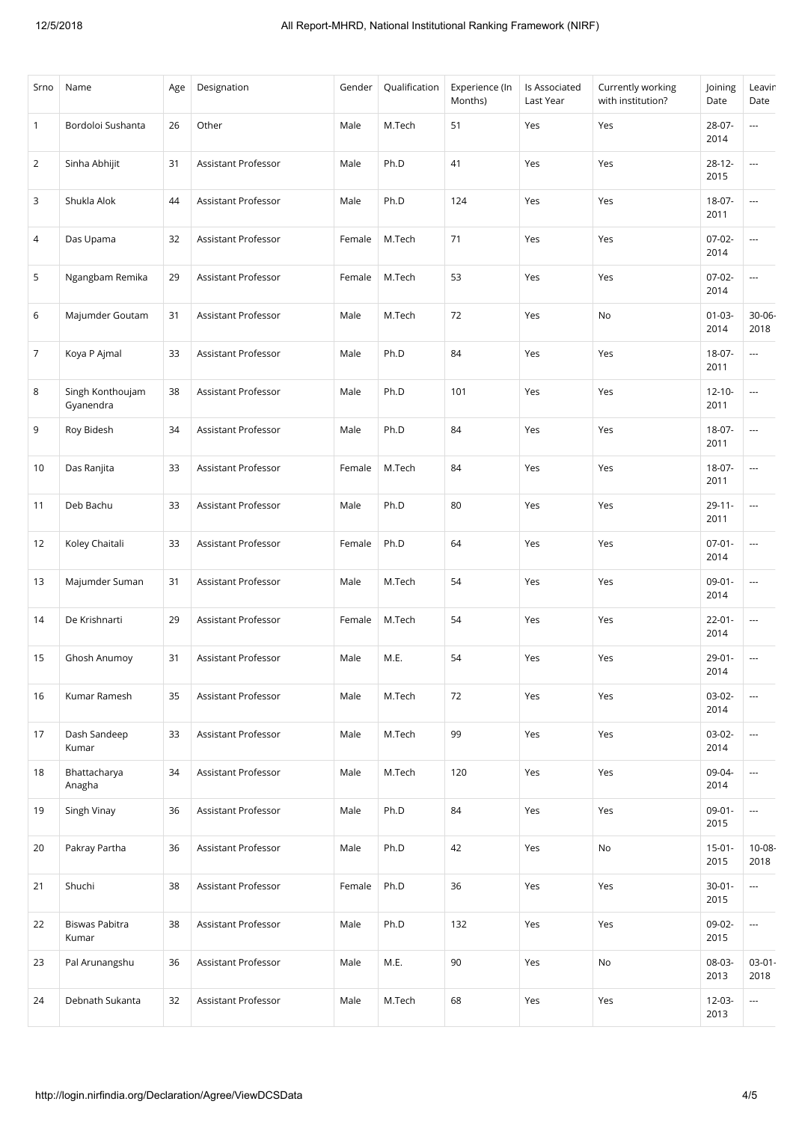| Srno           | Name                          | Age | Designation         | Gender | Qualification | Experience (In<br>Months) | Is Associated<br>Last Year | Currently working<br>with institution? | Joining<br>Date     | Leavin<br>Date           |
|----------------|-------------------------------|-----|---------------------|--------|---------------|---------------------------|----------------------------|----------------------------------------|---------------------|--------------------------|
| $\overline{1}$ | Bordoloi Sushanta             | 26  | Other               | Male   | M.Tech        | 51                        | Yes                        | Yes                                    | 28-07-<br>2014      | ---                      |
| $\overline{2}$ | Sinha Abhijit                 | 31  | Assistant Professor | Male   | Ph.D          | 41                        | Yes                        | Yes                                    | $28 - 12 -$<br>2015 | ---                      |
| 3              | Shukla Alok                   | 44  | Assistant Professor | Male   | Ph.D          | 124                       | Yes                        | Yes                                    | $18-07-$<br>2011    | ---                      |
| 4              | Das Upama                     | 32  | Assistant Professor | Female | M.Tech        | 71                        | Yes                        | Yes                                    | $07-02-$<br>2014    | ---                      |
| 5              | Ngangbam Remika               | 29  | Assistant Professor | Female | M.Tech        | 53                        | Yes                        | Yes                                    | $07-02-$<br>2014    | ---                      |
| 6              | Majumder Goutam               | 31  | Assistant Professor | Male   | M.Tech        | 72                        | Yes                        | No                                     | $01 - 03 -$<br>2014 | 30-06-<br>2018           |
| $\overline{7}$ | Koya P Ajmal                  | 33  | Assistant Professor | Male   | Ph.D          | 84                        | Yes                        | Yes                                    | $18-07-$<br>2011    | ---                      |
| 8              | Singh Konthoujam<br>Gyanendra | 38  | Assistant Professor | Male   | Ph.D          | 101                       | Yes                        | Yes                                    | $12 - 10 -$<br>2011 | ---                      |
| 9              | Roy Bidesh                    | 34  | Assistant Professor | Male   | Ph.D          | 84                        | Yes                        | Yes                                    | $18-07-$<br>2011    | ---                      |
| 10             | Das Ranjita                   | 33  | Assistant Professor | Female | M.Tech        | 84                        | Yes                        | Yes                                    | $18-07-$<br>2011    | ---                      |
| 11             | Deb Bachu                     | 33  | Assistant Professor | Male   | Ph.D          | 80                        | Yes                        | Yes                                    | $29 - 11 -$<br>2011 | ---                      |
| 12             | Koley Chaitali                | 33  | Assistant Professor | Female | Ph.D          | 64                        | Yes                        | Yes                                    | $07 - 01 -$<br>2014 | $\sim$                   |
| 13             | Majumder Suman                | 31  | Assistant Professor | Male   | M.Tech        | 54                        | Yes                        | Yes                                    | $09-01-$<br>2014    | $\sim$                   |
| 14             | De Krishnarti                 | 29  | Assistant Professor | Female | M.Tech        | 54                        | Yes                        | Yes                                    | $22 - 01 -$<br>2014 | ---                      |
| 15             | Ghosh Anumoy                  | 31  | Assistant Professor | Male   | M.E.          | 54                        | Yes                        | Yes                                    | $29 - 01 -$<br>2014 | ---                      |
| 16             | Kumar Ramesh                  | 35  | Assistant Professor | Male   | M.Tech        | 72                        | Yes                        | Yes                                    | $03-02-$<br>2014    | ---                      |
| 17             | Dash Sandeep<br>Kumar         | 33  | Assistant Professor | Male   | M.Tech        | 99                        | Yes                        | Yes                                    | $03-02-$<br>2014    | ---                      |
| 18             | Bhattacharya<br>Anagha        | 34  | Assistant Professor | Male   | M.Tech        | 120                       | Yes                        | Yes                                    | 09-04-<br>2014      | ---                      |
| 19             | Singh Vinay                   | 36  | Assistant Professor | Male   | Ph.D          | 84                        | Yes                        | Yes                                    | $09 - 01 -$<br>2015 | ---                      |
| 20             | Pakray Partha                 | 36  | Assistant Professor | Male   | Ph.D          | 42                        | Yes                        | No                                     | $15 - 01 -$<br>2015 | $10 - 08 -$<br>2018      |
| 21             | Shuchi                        | 38  | Assistant Professor | Female | Ph.D          | 36                        | Yes                        | Yes                                    | $30 - 01 -$<br>2015 | ---                      |
| 22             | Biswas Pabitra<br>Kumar       | 38  | Assistant Professor | Male   | Ph.D          | 132                       | Yes                        | Yes                                    | 09-02-<br>2015      | ---                      |
| 23             | Pal Arunangshu                | 36  | Assistant Professor | Male   | M.E.          | 90                        | Yes                        | No                                     | 08-03-<br>2013      | $03-01-$<br>2018         |
| 24             | Debnath Sukanta               | 32  | Assistant Professor | Male   | M.Tech        | 68                        | Yes                        | Yes                                    | $12 - 03 -$<br>2013 | $\overline{\phantom{a}}$ |